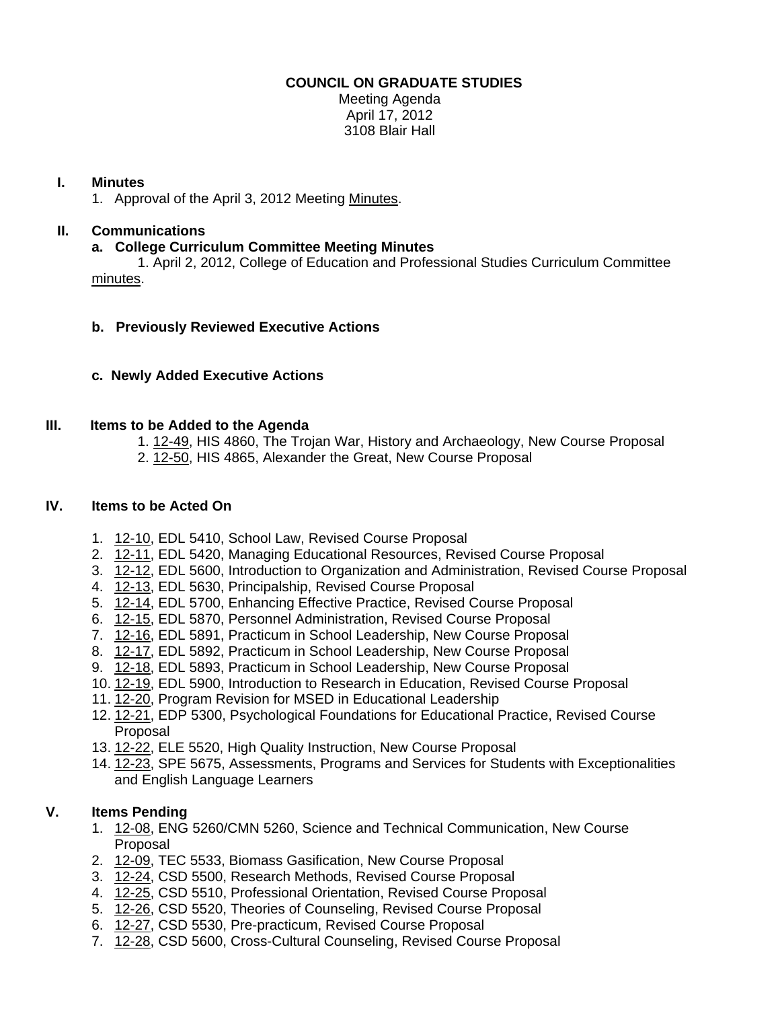### **COUNCIL ON GRADUATE STUDIES**

Meeting Agenda April 17, 2012 3108 Blair Hall

#### **I. Minutes**

1. Approval of the April 3, 2012 Meet[ing Minutes.](http://castle.eiu.edu/eiucgs/currentminutes/Minutes4-3-12.pdf) 

## **II. Communications**

### **a. College Curriculum Committee Meeting Minutes**

 1. April 2, 2012, College of Education and Professional Studies Curriculum Committee [minutes.](http://castle.eiu.edu/~eiucgs/currentagendaitems/CEPSMin4-2-12.pdf) 

# **b. Previously Reviewed Executive Actions**

# **c. Newly Added Executive Actions**

### **III. Items to be Added to the Agenda**

- 1[. 12-49, H](http://castle.eiu.edu/~eiucgs/currentagendaitems/agenda12-49.pdf)IS 4860, The Trojan War, History and Archaeology, New Course Proposal
- 2. [12-50, H](http://castle.eiu.edu/~eiucgs/currentagendaitems/agenda12-50.pdf)IS 4865, Alexander the Great, New Course Proposal

### **IV. Items to be Acted On**

- 1. [12-10, E](http://castle.eiu.edu/~eiucgs/currentagendaitems/agenda12-10.pdf)DL 5410, School Law, Revised Course Proposal
- 2. [12-11, E](http://castle.eiu.edu/~eiucgs/currentagendaitems/agenda12-11.pdf)DL 5420, Managing Educational Resources, Revised Course Proposal
- 3. [12-12, E](http://castle.eiu.edu/~eiucgs/currentagendaitems/agenda12-12.pdf)DL 5600, Introduction to Organization and Administration, Revised Course Proposal
- 4. [12-13, E](http://castle.eiu.edu/~eiucgs/currentagendaitems/agenda12-13.pdf)DL 5630, Principalship, Revised Course Proposal
- 5. [12-14, E](http://castle.eiu.edu/~eiucgs/currentagendaitems/agenda12-14.pdf)DL 5700, Enhancing Effective Practice, Revised Course Proposal
- 6. [12-15, E](http://castle.eiu.edu/~eiucgs/currentagendaitems/agenda12-15.pdf)DL 5870, Personnel Administration, Revised Course Proposal
- 7. [12-16, E](http://castle.eiu.edu/~eiucgs/currentagendaitems/agenda12-16.pdf)DL 5891, Practicum in School Leadership, New Course Proposal
- 8. [12-17,](http://castle.eiu.edu/~eiucgs/currentagendaitems/agenda12-17.pdf) EDL 5892, Practicum in School Leadership, New Course Proposal
- 9. [12-18,](http://castle.eiu.edu/~eiucgs/currentagendaitems/agenda12-18.pdf) EDL 5893, Practicum in School Leadership, New Course Proposal
- 10[. 12-19, E](http://castle.eiu.edu/~eiucgs/currentagendaitems/agenda12-19.pdf)DL 5900, Introduction to Research in Education, Revised Course Proposal
- 11. [12-20,](http://castle.eiu.edu/~eiucgs/currentagendaitems/agenda12-20.pdf) Program Revision for MSED in Educational Leadership
- 12. [12-21, E](http://castle.eiu.edu/~eiucgs/currentagendaitems/agenda12-21.pdf)DP 5300, Psychological Foundations for Educational Practice, Revised Course Proposal
- 13[. 12-22, E](http://castle.eiu.edu/~eiucgs/currentagendaitems/agenda12-22.pdf)LE 5520, High Quality Instruction, New Course Proposal
- 14[. 12-23, S](http://castle.eiu.edu/~eiucgs/currentagendaitems/agenda12-23.pdf)PE 5675, Assessments, Programs and Services for Students with Exceptionalities and English Language Learners

# **V. Items Pending**

- 1. [12-08,](http://castle.eiu.edu/~eiucgs/currentagendaitems/agenda12-08.pdf) ENG 5260/CMN 5260, Science and Technical Communication, New Course Proposal
- 2. [12-09, T](http://castle.eiu.edu/~eiucgs/currentagendaitems/agenda12-09.pdf)EC 5533, Biomass Gasification, New Course Proposal
- 3. [12-24,](http://castle.eiu.edu/~eiucgs/currentagendaitems/agenda12-24.pdf) CSD 5500, Research Methods, Revised Course Proposal
- 4. [12-25, C](http://castle.eiu.edu/~eiucgs/currentagendaitems/agenda12-25.pdf)SD 5510, Professional Orientation, Revised Course Proposal
- 5. [12-26,](http://castle.eiu.edu/~eiucgs/currentagendaitems/agenda12-26.pdf) CSD 5520, Theories of Counseling, Revised Course Proposal
- 6. [12-27, C](http://castle.eiu.edu/~eiucgs/currentagendaitems/agenda12-27.pdf)SD 5530, Pre-practicum, Revised Course Proposal
- 7. [12-28,](http://castle.eiu.edu/~eiucgs/currentagendaitems/agenda12-28.pdf) CSD 5600, Cross-Cultural Counseling, Revised Course Proposal